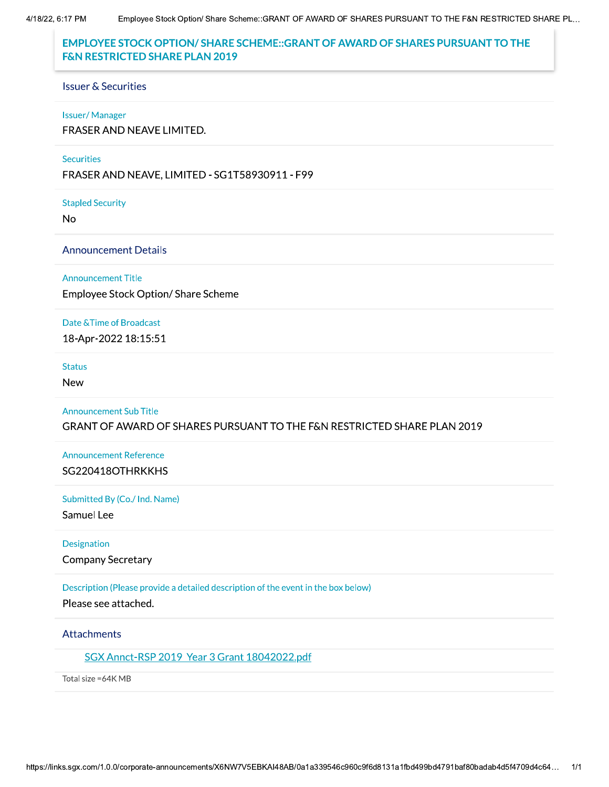4/18/22, 6:17 PM

# **EMPLOYEE STOCK OPTION/ SHARE SCHEME::GRANT OF AWARD OF SHARES PURSUANT TO THE F&N RESTRICTED SHARE PLAN 2019**

### **Issuer & Securities**

#### **Issuer/Manager**

FRASER AND NEAVE LIMITED.

### Securities

FRASER AND NEAVE, LIMITED - SG1T58930911 - F99

**Stapled Security** 

 $No$ 

**Announcement Details** 

**Announcement Title** 

Employee Stock Option/Share Scheme

Date & Time of Broadcast

18-Apr-2022 18:15:51

**Status** 

**New** 

**Announcement Sub Title** GRANT OF AWARD OF SHARES PURSUANT TO THE F&N RESTRICTED SHARE PLAN 2019

**Announcement Reference** SG220418OTHRKKHS

Submitted By (Co./ Ind. Name)

Samuel Lee

Designation

**Company Secretary** 

Description (Please provide a detailed description of the event in the box below)

Please see attached.

Attachments

SGX Annct-RSP 2019 Year 3 Grant 18042022.pdf

Total size =64K MB